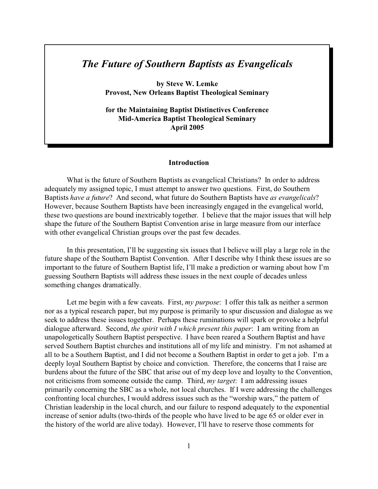## *The Future of Southern Baptists as Evangelicals*

**by Steve W. Lemke Provost, New Orleans Baptist Theological Seminary**

**for the Maintaining Baptist Distinctives Conference Mid-America Baptist Theological Seminary April 2005**

## **Introduction**

What is the future of Southern Baptists as evangelical Christians? In order to address adequately my assigned topic, I must attempt to answer two questions. First, do Southern Baptists *have a future*? And second, what future do Southern Baptists have *as evangelicals*? However, because Southern Baptists have been increasingly engaged in the evangelical world, these two questions are bound inextricably together. I believe that the major issues that will help shape the future of the Southern Baptist Convention arise in large measure from our interface with other evangelical Christian groups over the past few decades.

In this presentation, I'll be suggesting six issues that I believe will play a large role in the future shape of the Southern Baptist Convention. After I describe why I think these issues are so important to the future of Southern Baptist life, I'll make a prediction or warning about how I'm guessing Southern Baptists will address these issues in the next couple of decades unless something changes dramatically.

Let me begin with a few caveats. First, *my purpose*: I offer this talk as neither a sermon nor as a typical research paper, but my purpose is primarily to spur discussion and dialogue as we seek to address these issues together. Perhaps these ruminations will spark or provoke a helpful dialogue afterward. Second, *the spirit with I which present this paper*: I am writing from an unapologetically Southern Baptist perspective. I have been reared a Southern Baptist and have served Southern Baptist churches and institutions all of my life and ministry. I'm not ashamed at all to be a Southern Baptist, and I did not become a Southern Baptist in order to get a job. I'm a deeply loyal Southern Baptist by choice and conviction. Therefore, the concerns that I raise are burdens about the future of the SBC that arise out of my deep love and loyalty to the Convention, not criticisms from someone outside the camp. Third, *my target*: I am addressing issues primarily concerning the SBC as a whole, not local churches. If I were addressing the challenges confronting local churches, I would address issues such as the "worship wars," the pattern of Christian leadership in the local church, and our failure to respond adequately to the exponential increase of senior adults (two-thirds of the people who have lived to be age 65 or older ever in the history of the world are alive today). However, I'll have to reserve those comments for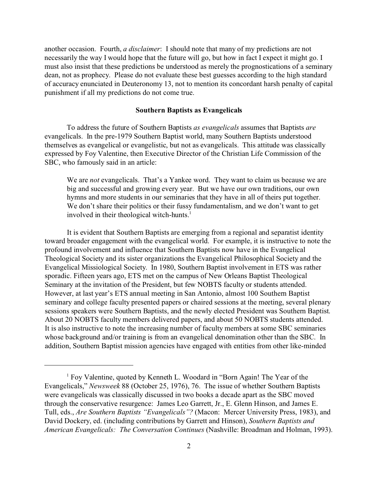another occasion. Fourth, *a disclaimer*: I should note that many of my predictions are not necessarily the way I would hope that the future will go, but how in fact I expect it might go. I must also insist that these predictions be understood as merely the prognostications of a seminary dean, not as prophecy. Please do not evaluate these best guesses according to the high standard of accuracy enunciated in Deuteronomy 13, not to mention its concordant harsh penalty of capital punishment if all my predictions do not come true.

## **Southern Baptists as Evangelicals**

To address the future of Southern Baptists *as evangelicals* assumes that Baptists *are* evangelicals. In the pre-1979 Southern Baptist world, many Southern Baptists understood themselves as evangelical or evangelistic, but not as evangelicals. This attitude was classically expressed by Foy Valentine, then Executive Director of the Christian Life Commission of the SBC, who famously said in an article:

We are *not* evangelicals. That's a Yankee word. They want to claim us because we are big and successful and growing every year. But we have our own traditions, our own hymns and more students in our seminaries that they have in all of theirs put together. We don't share their politics or their fussy fundamentalism, and we don't want to get involved in their theological witch-hunts.<sup>1</sup>

It is evident that Southern Baptists are emerging from a regional and separatist identity toward broader engagement with the evangelical world. For example, it is instructive to note the profound involvement and influence that Southern Baptists now have in the Evangelical Theological Society and its sister organizations the Evangelical Philosophical Society and the Evangelical Missiological Society. In 1980, Southern Baptist involvement in ETS was rather sporadic. Fifteen years ago, ETS met on the campus of New Orleans Baptist Theological Seminary at the invitation of the President, but few NOBTS faculty or students attended. However, at last year's ETS annual meeting in San Antonio, almost 100 Southern Baptist seminary and college faculty presented papers or chaired sessions at the meeting, several plenary sessions speakers were Southern Baptists, and the newly elected President was Southern Baptist. About 20 NOBTS faculty members delivered papers, and about 50 NOBTS students attended. It is also instructive to note the increasing number of faculty members at some SBC seminaries whose background and/or training is from an evangelical denomination other than the SBC. In addition, Southern Baptist mission agencies have engaged with entities from other like-minded

<sup>&</sup>lt;sup>1</sup> Foy Valentine, quoted by Kenneth L. Woodard in "Born Again! The Year of the Evangelicals," *Newsweek* 88 (October 25, 1976), 76. The issue of whether Southern Baptists were evangelicals was classically discussed in two books a decade apart as the SBC moved through the conservative resurgence: James Leo Garrett, Jr., E. Glenn Hinson, and James E. Tull, eds., *Are Southern Baptists "Evangelicals"?* (Macon: Mercer University Press, 1983), and David Dockery, ed. (including contributions by Garrett and Hinson), *Southern Baptists and American Evangelicals: The Conversation Continues* (Nashville: Broadman and Holman, 1993).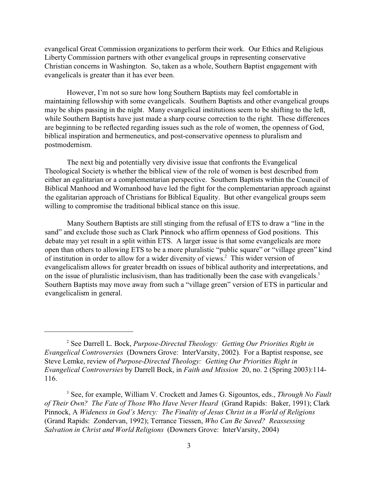evangelical Great Commission organizations to perform their work. Our Ethics and Religious Liberty Commission partners with other evangelical groups in representing conservative Christian concerns in Washington. So, taken as a whole, Southern Baptist engagement with evangelicals is greater than it has ever been.

However, I'm not so sure how long Southern Baptists may feel comfortable in maintaining fellowship with some evangelicals. Southern Baptists and other evangelical groups may be ships passing in the night. Many evangelical institutions seem to be shifting to the left, while Southern Baptists have just made a sharp course correction to the right. These differences are beginning to be reflected regarding issues such as the role of women, the openness of God, biblical inspiration and hermeneutics, and post-conservative openness to pluralism and postmodernism.

The next big and potentially very divisive issue that confronts the Evangelical Theological Society is whether the biblical view of the role of women is best described from either an egalitarian or a complementarian perspective. Southern Baptists within the Council of Biblical Manhood and Womanhood have led the fight for the complementarian approach against the egalitarian approach of Christians for Biblical Equality. But other evangelical groups seem willing to compromise the traditional biblical stance on this issue.

Many Southern Baptists are still stinging from the refusal of ETS to draw a "line in the sand" and exclude those such as Clark Pinnock who affirm openness of God positions. This debate may yet result in a split within ETS. A larger issue is that some evangelicals are more open than others to allowing ETS to be a more pluralistic "public square" or "village green" kind of institution in order to allow for a wider diversity of views.<sup>2</sup> This wider version of evangelicalism allows for greater breadth on issues of biblical authority and interpretations, and on the issue of pluralistic inclusivism, than has traditionally been the case with evangelicals.<sup>3</sup> Southern Baptists may move away from such a "village green" version of ETS in particular and evangelicalism in general.

<sup>2</sup> See Darrell L. Bock, *Purpose-Directed Theology: Getting Our Priorities Right in Evangelical Controversies* (Downers Grove: InterVarsity, 2002). For a Baptist response, see Steve Lemke, review of *Purpose-Directed Theology: Getting Our Priorities Right in Evangelical Controversies* by Darrell Bock, in *Faith and Mission* 20, no. 2 (Spring 2003):114- 116.

<sup>3</sup> See, for example, William V. Crockett and James G. Sigountos, eds., *Through No Fault of Their Own? The Fate of Those Who Have Never Heard* (Grand Rapids: Baker, 1991); Clark Pinnock, A *Wideness in God's Mercy: The Finality of Jesus Christ in a World of Religions* (Grand Rapids: Zondervan, 1992); Terrance Tiessen, *Who Can Be Saved? Reassessing Salvation in Christ and World Religions* (Downers Grove: InterVarsity, 2004)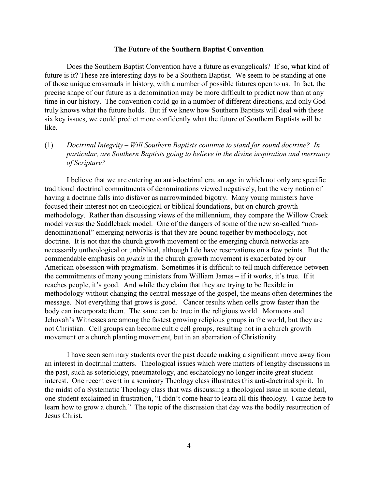## **The Future of the Southern Baptist Convention**

Does the Southern Baptist Convention have a future as evangelicals? If so, what kind of future is it? These are interesting days to be a Southern Baptist. We seem to be standing at one of those unique crossroads in history, with a number of possible futures open to us. In fact, the precise shape of our future as a denomination may be more difficult to predict now than at any time in our history. The convention could go in a number of different directions, and only God truly knows what the future holds. But if we knew how Southern Baptists will deal with these six key issues, we could predict more confidently what the future of Southern Baptists will be like.

(1) *Doctrinal Integrity* – *Will Southern Baptists continue to stand for sound doctrine? In particular, are Southern Baptists going to believe in the divine inspiration and inerrancy of Scripture?*

I believe that we are entering an anti-doctrinal era, an age in which not only are specific traditional doctrinal commitments of denominations viewed negatively, but the very notion of having a doctrine falls into disfavor as narrowminded bigotry. Many young ministers have focused their interest not on theological or biblical foundations, but on church growth methodology. Rather than discussing views of the millennium, they compare the Willow Creek model versus the Saddleback model. One of the dangers of some of the new so-called "nondenominational" emerging networks is that they are bound together by methodology, not doctrine. It is not that the church growth movement or the emerging church networks are necessarily untheological or unbiblical, although I do have reservations on a few points. But the commendable emphasis on *praxis* in the church growth movement is exacerbated by our American obsession with pragmatism. Sometimes it is difficult to tell much difference between the commitments of many young ministers from William James – if it works, it's true. If it reaches people, it's good. And while they claim that they are trying to be flexible in methodology without changing the central message of the gospel, the means often determines the message. Not everything that grows is good. Cancer results when cells grow faster than the body can incorporate them. The same can be true in the religious world. Mormons and Jehovah's Witnesses are among the fastest growing religious groups in the world, but they are not Christian. Cell groups can become cultic cell groups, resulting not in a church growth movement or a church planting movement, but in an aberration of Christianity.

I have seen seminary students over the past decade making a significant move away from an interest in doctrinal matters. Theological issues which were matters of lengthy discussions in the past, such as soteriology, pneumatology, and eschatology no longer incite great student interest. One recent event in a seminary Theology class illustrates this anti-doctrinal spirit. In the midst of a Systematic Theology class that was discussing a theological issue in some detail, one student exclaimed in frustration, "I didn't come hear to learn all this theology. I came here to learn how to grow a church." The topic of the discussion that day was the bodily resurrection of Jesus Christ.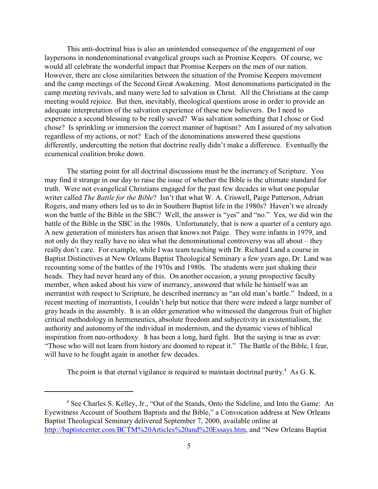This anti-doctrinal bias is also an unintended consequence of the engagement of our laypersons in nondenominational evangelical groups such as Promise Keepers. Of course, we would all celebrate the wonderful impact that Promise Keepers on the men of our nation. However, there are close similarities between the situation of the Promise Keepers movement and the camp meetings of the Second Great Awakening. Most denominations participated in the camp meeting revivals, and many were led to salvation in Christ. All the Christians at the camp meeting would rejoice. But then, inevitably, theological questions arose in order to provide an adequate interpretation of the salvation experience of these new believers. Do I need to experience a second blessing to be really saved? Was salvation something that I chose or God chose? Is sprinkling or immersion the correct manner of baptism? Am I assured of my salvation regardless of my actions, or not? Each of the denominations answered these questions differently, undercutting the notion that doctrine really didn't make a difference. Eventually the ecumenical coalition broke down.

The starting point for all doctrinal discussions must be the inerrancy of Scripture. You may find it strange in our day to raise the issue of whether the Bible is the ultimate standard for truth. Were not evangelical Christians engaged for the past few decades in what one popular writer called *The Battle for the Bible*? Isn't that what W. A. Criswell, Paige Patterson, Adrian Rogers, and many others led us to do in Southern Baptist life in the 1980s? Haven't we already won the battle of the Bible in the SBC? Well, the answer is "yes" and "no." Yes, we did win the battle of the Bible in the SBC in the 1980s. Unfortunately, that is now a quarter of a century ago. A new generation of ministers has arisen that knows not Paige. They were infants in 1979, and not only do they really have no idea what the denominational controversy was all about – they really don't care. For example, while I was team teaching with Dr. Richard Land a course in Baptist Distinctives at New Orleans Baptist Theological Seminary a few years ago, Dr. Land was recounting some of the battles of the 1970s and 1980s. The students were just shaking their heads. They had never heard any of this. On another occasion, a young prospective faculty member, when asked about his view of inerrancy, answered that while he himself was an inerrantist with respect to Scripture, he described inerrancy as "an old man's battle." Indeed, in a recent meeting of inerrantists, I couldn't help but notice that there were indeed a large number of gray heads in the assembly. It is an older generation who witnessed the dangerous fruit of higher critical methodology in hermeneutics, absolute freedom and subjectivity in existentialism, the authority and autonomy of the individual in modernism, and the dynamic views of biblical inspiration from neo-orthodoxy. It has been a long, hard fight. But the saying is true as ever: "Those who will not learn from history are doomed to repeat it." The Battle of the Bible, I fear, will have to be fought again in another few decades.

The point is that eternal vigilance is required to maintain doctrinal purity. $4$  As G.K.

<sup>&</sup>lt;sup>4</sup> See Charles S. Kelley, Jr., "Out of the Stands, Onto the Sideline, and Into the Game: An Eyewitness Account of Southern Baptists and the Bible," a Convocation address at New Orleans Baptist Theological Seminary delivered September 7, 2000, available online at http://baptistcenter.com/BCTM%20Articles%20and%20Essays.htm, and "New Orleans Baptist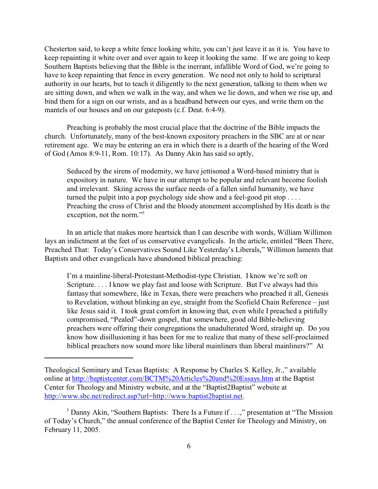Chesterton said, to keep a white fence looking white, you can't just leave it as it is. You have to keep repainting it white over and over again to keep it looking the same. If we are going to keep Southern Baptists believing that the Bible is the inerrant, infallible Word of God, we're going to have to keep repainting that fence in every generation. We need not only to hold to scriptural authority in our hearts, but to teach it diligently to the next generation, talking to them when we are sitting down, and when we walk in the way, and when we lie down, and when we rise up, and bind them for a sign on our wrists, and as a headband between our eyes, and write them on the mantels of our houses and on our gateposts (c.f. Deut. 6:4-9).

Preaching is probably the most crucial place that the doctrine of the Bible impacts the church. Unfortunately, many of the best-known expository preachers in the SBC are at or near retirement age. We may be entering an era in which there is a dearth of the hearing of the Word of God (Amos 8:9-11, Rom. 10:17). As Danny Akin has said so aptly,

Seduced by the sirens of modernity, we have jettisoned a Word-based ministry that is expository in nature. We have in our attempt to be popular and relevant become foolish and irrelevant. Skiing across the surface needs of a fallen sinful humanity, we have turned the pulpit into a pop psychology side show and a feel-good pit stop . . . . Preaching the cross of Christ and the bloody atonement accomplished by His death is the exception, not the norm."<sup>5</sup>

In an article that makes more heartsick than I can describe with words, William Willimon lays an indictment at the feet of us conservative evangelicals. In the article, entitled "Been There, Preached That: Today's Conservatives Sound Like Yesterday's Liberals," Willimon laments that Baptists and other evangelicals have abandoned biblical preaching:

I'm a mainline-liberal-Protestant-Methodist-type Christian. I know we're soft on Scripture. . . . I know we play fast and loose with Scripture. But I've always had this fantasy that somewhere, like in Texas, there were preachers who preached it all, Genesis to Revelation, without blinking an eye, straight from the Scofield Chain Reference – just like Jesus said it. I took great comfort in knowing that, even while I preached a pitifully compromised, "Pealed"-down gospel, that somewhere, good old Bible-believing preachers were offering their congregations the unadulterated Word, straight up. Do you know how disillusioning it has been for me to realize that many of these self-proclaimed biblical preachers now sound more like liberal mainliners than liberal mainliners?" At

Theological Seminary and Texas Baptists: A Response by Charles S. Kelley, Jr.," available online at http://baptistcenter.com/BCTM%20Articles%20and%20Essays.htm at the Baptist Center for Theology and Ministry website, and at the "Baptist2Baptist" website at http://www.sbc.net/redirect.asp?url=http://www.baptist2baptist.net.

<sup>&</sup>lt;sup>5</sup> Danny Akin, "Southern Baptists: There Is a Future if . . .," presentation at "The Mission of Today's Church," the annual conference of the Baptist Center for Theology and Ministry, on February 11, 2005.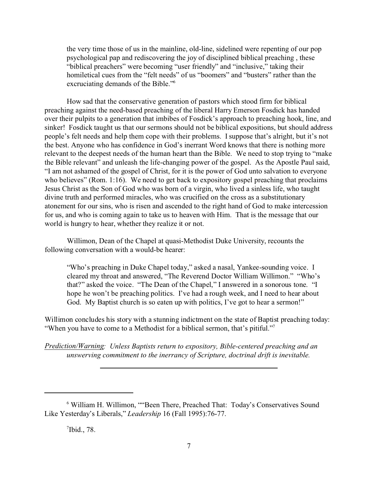the very time those of us in the mainline, old-line, sidelined were repenting of our pop psychological pap and rediscovering the joy of disciplined biblical preaching , these "biblical preachers" were becoming "user friendly" and "inclusive," taking their homiletical cues from the "felt needs" of us "boomers" and "busters" rather than the excruciating demands of the Bible."<sup>6</sup>

How sad that the conservative generation of pastors which stood firm for biblical preaching against the need-based preaching of the liberal Harry Emerson Fosdick has handed over their pulpits to a generation that imbibes of Fosdick's approach to preaching hook, line, and sinker! Fosdick taught us that our sermons should not be biblical expositions, but should address people's felt needs and help them cope with their problems. I suppose that's alright, but it's not the best. Anyone who has confidence in God's inerrant Word knows that there is nothing more relevant to the deepest needs of the human heart than the Bible. We need to stop trying to "make the Bible relevant" and unleash the life-changing power of the gospel. As the Apostle Paul said, "I am not ashamed of the gospel of Christ, for it is the power of God unto salvation to everyone who believes" (Rom. 1:16). We need to get back to expository gospel preaching that proclaims Jesus Christ as the Son of God who was born of a virgin, who lived a sinless life, who taught divine truth and performed miracles, who was crucified on the cross as a substitutionary atonement for our sins, who is risen and ascended to the right hand of God to make intercession for us, and who is coming again to take us to heaven with Him. That is the message that our world is hungry to hear, whether they realize it or not.

Willimon, Dean of the Chapel at quasi-Methodist Duke University, recounts the following conversation with a would-be hearer:

"Who's preaching in Duke Chapel today," asked a nasal, Yankee-sounding voice. I cleared my throat and answered, "The Reverend Doctor William Willimon." "Who's that?" asked the voice. "The Dean of the Chapel," I answered in a sonorous tone. "I hope he won't be preaching politics. I've had a rough week, and I need to hear about God. My Baptist church is so eaten up with politics, I've got to hear a sermon!"

Willimon concludes his story with a stunning indictment on the state of Baptist preaching today: "When you have to come to a Methodist for a biblical sermon, that's pitiful."<sup>7</sup>

*Prediction/Warning: Unless Baptists return to expository, Bible-centered preaching and an unswerving commitment to the inerrancy of Scripture, doctrinal drift is inevitable.*

 $7$ Ibid., 78.

<sup>&</sup>lt;sup>6</sup> William H. Willimon, ""Been There, Preached That: Today's Conservatives Sound Like Yesterday's Liberals," *Leadership* 16 (Fall 1995):76-77.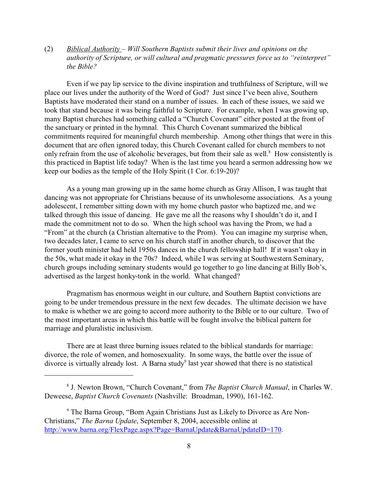(2) *Biblical Authority* – *Will Southern Baptists submit their lives and opinions on the authority of Scripture, or will cultural and pragmatic pressures force us to "reinterpret" the Bible?*

Even if we pay lip service to the divine inspiration and truthfulness of Scripture, will we place our lives under the authority of the Word of God? Just since I've been alive, Southern Baptists have moderated their stand on a number of issues. In each of these issues, we said we took that stand because it was being faithful to Scripture. For example, when I was growing up, many Baptist churches had something called a "Church Covenant" either posted at the front of the sanctuary or printed in the hymnal. This Church Covenant summarized the biblical commitments required for meaningful church membership. Among other things that were in this document that are often ignored today, this Church Covenant called for church members to not only refrain from the use of alcoholic beverages, but from their sale as well.<sup>8</sup> How consistently is this practiced in Baptist life today? When is the last time you heard a sermon addressing how we keep our bodies as the temple of the Holy Spirit (1 Cor. 6:19-20)?

As a young man growing up in the same home church as Gray Allison, I was taught that dancing was not appropriate for Christians because of its unwholesome associations. As a young adolescent, I remember sitting down with my home church pastor who baptized me, and we talked through this issue of dancing. He gave me all the reasons why I shouldn't do it, and I made the commitment not to do so. When the high school was having the Prom, we had a "From" at the church (a Christian alternative to the Prom). You can imagine my surprise when, two decades later, I came to serve on his church staff in another church, to discover that the former youth minister had held 1950s dances in the church fellowship hall! If it wasn't okay in the 50s, what made it okay in the 70s? Indeed, while I was serving at Southwestern Seminary, church groups including seminary students would go together to go line dancing at Billy Bob's, advertised as the largest honky-tonk in the world. What changed?

Pragmatism has enormous weight in our culture, and Southern Baptist convictions are going to be under tremendous pressure in the next few decades. The ultimate decision we have to make is whether we are going to accord more authority to the Bible or to our culture. Two of the most important areas in which this battle will be fought involve the biblical pattern for marriage and pluralistic inclusivism.

There are at least three burning issues related to the biblical standards for marriage: divorce, the role of women, and homosexuality. In some ways, the battle over the issue of divorce is virtually already lost. A Barna study last year showed that there is no statistical

<sup>8</sup> J. Newton Brown, "Church Covenant," from *The Baptist Church Manual*, in Charles W. Deweese, *Baptist Church Covenants* (Nashville: Broadman, 1990), 161-162.

<sup>&</sup>lt;sup>9</sup> The Barna Group, "Born Again Christians Just as Likely to Divorce as Are Non-Christians," *The Barna Update*, September 8, 2004, accessible online at http://www.barna.org/FlexPage.aspx?Page=BarnaUpdate&BarnaUpdateID=170.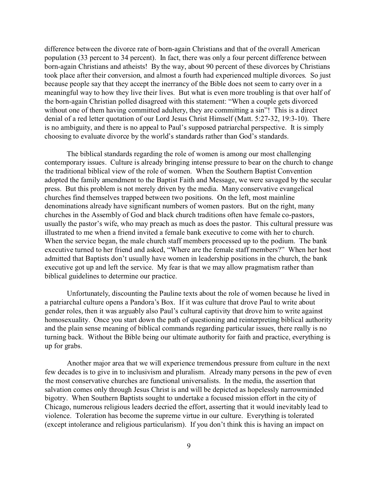difference between the divorce rate of born-again Christians and that of the overall American population (33 percent to 34 percent). In fact, there was only a four percent difference between born-again Christians and atheists! By the way, about 90 percent of these divorces by Christians took place after their conversion, and almost a fourth had experienced multiple divorces. So just because people say that they accept the inerrancy of the Bible does not seem to carry over in a meaningful way to how they live their lives. But what is even more troubling is that over half of the born-again Christian polled disagreed with this statement: "When a couple gets divorced without one of them having committed adultery, they are committing a sin"! This is a direct denial of a red letter quotation of our Lord Jesus Christ Himself (Matt. 5:27-32, 19:3-10). There is no ambiguity, and there is no appeal to Paul's supposed patriarchal perspective. It is simply choosing to evaluate divorce by the world's standards rather than God's standards.

The biblical standards regarding the role of women is among our most challenging contemporary issues. Culture is already bringing intense pressure to bear on the church to change the traditional biblical view of the role of women. When the Southern Baptist Convention adopted the family amendment to the Baptist Faith and Message, we were savaged by the secular press. But this problem is not merely driven by the media. Many conservative evangelical churches find themselves trapped between two positions. On the left, most mainline denominations already have significant numbers of women pastors. But on the right, many churches in the Assembly of God and black church traditions often have female co-pastors, usually the pastor's wife, who may preach as much as does the pastor. This cultural pressure was illustrated to me when a friend invited a female bank executive to come with her to church. When the service began, the male church staff members processed up to the podium. The bank executive turned to her friend and asked, "Where are the female staff members?" When her host admitted that Baptists don't usually have women in leadership positions in the church, the bank executive got up and left the service. My fear is that we may allow pragmatism rather than biblical guidelines to determine our practice.

Unfortunately, discounting the Pauline texts about the role of women because he lived in a patriarchal culture opens a Pandora's Box. If it was culture that drove Paul to write about gender roles, then it was arguably also Paul's cultural captivity that drove him to write against homosexuality. Once you start down the path of questioning and reinterpreting biblical authority and the plain sense meaning of biblical commands regarding particular issues, there really is no turning back. Without the Bible being our ultimate authority for faith and practice, everything is up for grabs.

Another major area that we will experience tremendous pressure from culture in the next few decades is to give in to inclusivism and pluralism. Already many persons in the pew of even the most conservative churches are functional universalists. In the media, the assertion that salvation comes only through Jesus Christ is and will be depicted as hopelessly narrowminded bigotry. When Southern Baptists sought to undertake a focused mission effort in the city of Chicago, numerous religious leaders decried the effort, asserting that it would inevitably lead to violence. Toleration has become the supreme virtue in our culture. Everything is tolerated (except intolerance and religious particularism). If you don't think this is having an impact on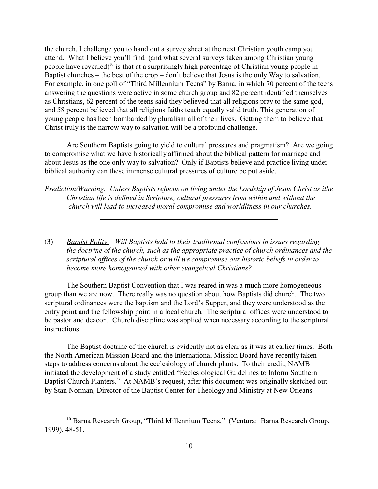the church, I challenge you to hand out a survey sheet at the next Christian youth camp you attend. What I believe you'll find (and what several surveys taken among Christian young people have revealed)<sup>10</sup> is that at a surprisingly high percentage of Christian young people in Baptist churches – the best of the crop – don't believe that Jesus is the only Way to salvation. For example, in one poll of "Third Millennium Teens" by Barna, in which 70 percent of the teens answering the questions were active in some church group and 82 percent identified themselves as Christians, 62 percent of the teens said they believed that all religions pray to the same god, and 58 percent believed that all religions faiths teach equally valid truth. This generation of young people has been bombarded by pluralism all of their lives. Getting them to believe that Christ truly is the narrow way to salvation will be a profound challenge.

Are Southern Baptists going to yield to cultural pressures and pragmatism? Are we going to compromise what we have historically affirmed about the biblical pattern for marriage and about Jesus as the one only way to salvation? Only if Baptists believe and practice living under biblical authority can these immense cultural pressures of culture be put aside.

*Prediction/Warning: Unless Baptists refocus on living under the Lordship of Jesus Christ as ithe Christian life is defined in Scripture, cultural pressures from within and without the church will lead to increased moral compromise and worldliness in our churches.*

(3) *Baptist Polity* – *Will Baptists hold to their traditional confessions in issues regarding the doctrine of the church, such as the appropriate practice of church ordinances and the scriptural offices of the church or will we compromise our historic beliefs in order to become more homogenized with other evangelical Christians?* 

The Southern Baptist Convention that I was reared in was a much more homogeneous group than we are now. There really was no question about how Baptists did church. The two scriptural ordinances were the baptism and the Lord's Supper, and they were understood as the entry point and the fellowship point in a local church. The scriptural offices were understood to be pastor and deacon. Church discipline was applied when necessary according to the scriptural instructions.

The Baptist doctrine of the church is evidently not as clear as it was at earlier times. Both the North American Mission Board and the International Mission Board have recently taken steps to address concerns about the ecclesiology of church plants. To their credit, NAMB initiated the development of a study entitled "Ecclesiological Guidelines to Inform Southern Baptist Church Planters." At NAMB's request, after this document was originally sketched out by Stan Norman, Director of the Baptist Center for Theology and Ministry at New Orleans

<sup>&</sup>lt;sup>10</sup> Barna Research Group, "Third Millennium Teens," (Ventura: Barna Research Group, 1999), 48-51.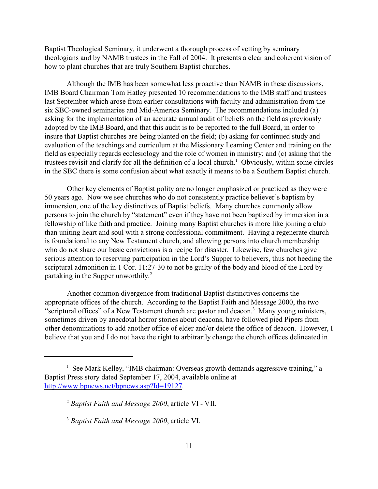Baptist Theological Seminary, it underwent a thorough process of vetting by seminary theologians and by NAMB trustees in the Fall of 2004. It presents a clear and coherent vision of how to plant churches that are truly Southern Baptist churches.

Although the IMB has been somewhat less proactive than NAMB in these discussions, IMB Board Chairman Tom Hatley presented 10 recommendations to the IMB staff and trustees last September which arose from earlier consultations with faculty and administration from the six SBC-owned seminaries and Mid-America Seminary. The recommendations included (a) asking for the implementation of an accurate annual audit of beliefs on the field as previously adopted by the IMB Board, and that this audit is to be reported to the full Board, in order to insure that Baptist churches are being planted on the field; (b) asking for continued study and evaluation of the teachings and curriculum at the Missionary Learning Center and training on the field as especially regards ecclesiology and the role of women in ministry; and (c) asking that the trustees revisit and clarify for all the definition of a local church.<sup>1</sup> Obviously, within some circles in the SBC there is some confusion about what exactly it means to be a Southern Baptist church.

Other key elements of Baptist polity are no longer emphasized or practiced as they were 50 years ago. Now we see churches who do not consistently practice believer's baptism by immersion, one of the key distinctives of Baptist beliefs. Many churches commonly allow persons to join the church by "statement" even if they have not been baptized by immersion in a fellowship of like faith and practice. Joining many Baptist churches is more like joining a club than uniting heart and soul with a strong confessional commitment. Having a regenerate church is foundational to any New Testament church, and allowing persons into church membership who do not share our basic convictions is a recipe for disaster. Likewise, few churches give serious attention to reserving participation in the Lord's Supper to believers, thus not heeding the scriptural admonition in 1 Cor. 11:27-30 to not be guilty of the body and blood of the Lord by partaking in the Supper unworthily.<sup>2</sup>

Another common divergence from traditional Baptist distinctives concerns the appropriate offices of the church. According to the Baptist Faith and Message 2000, the two "scriptural offices" of a New Testament church are pastor and deacon.<sup>3</sup> Many young ministers, sometimes driven by anecdotal horror stories about deacons, have followed pied Pipers from other denominations to add another office of elder and/or delete the office of deacon. However, I believe that you and I do not have the right to arbitrarily change the church offices delineated in

<sup>&</sup>lt;sup>1</sup> See Mark Kelley, "IMB chairman: Overseas growth demands aggressive training," a Baptist Press story dated September 17, 2004, available online at http://www.bpnews.net/bpnews.asp?Id=19127.

<sup>2</sup> *Baptist Faith and Message 2000*, article VI - VII.

<sup>3</sup> *Baptist Faith and Message 2000*, article VI.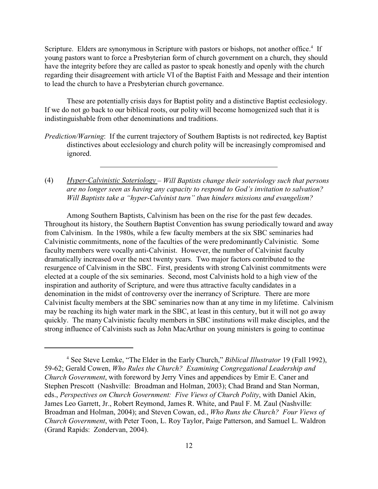Scripture. Elders are synonymous in Scripture with pastors or bishops, not another office.<sup>4</sup> If young pastors want to force a Presbyterian form of church government on a church, they should have the integrity before they are called as pastor to speak honestly and openly with the church regarding their disagreement with article VI of the Baptist Faith and Message and their intention to lead the church to have a Presbyterian church governance.

These are potentially crisis days for Baptist polity and a distinctive Baptist ecclesiology. If we do not go back to our biblical roots, our polity will become homogenized such that it is indistinguishable from other denominations and traditions.

- *Prediction/Warning*: If the current trajectory of Southern Baptists is not redirected, key Baptist distinctives about ecclesiology and church polity will be increasingly compromised and ignored.
- (4) *Hyper-Calvinistic Soteriology Will Baptists change their soteriology such that persons are no longer seen as having any capacity to respond to God's invitation to salvation? Will Baptists take a "hyper-Calvinist turn" than hinders missions and evangelism?*

Among Southern Baptists, Calvinism has been on the rise for the past few decades. Throughout its history, the Southern Baptist Convention has swung periodically toward and away from Calvinism. In the 1980s, while a few faculty members at the six SBC seminaries had Calvinistic commitments, none of the faculties of the were predominantly Calvinistic. Some faculty members were vocally anti-Calvinist. However, the number of Calvinist faculty dramatically increased over the next twenty years. Two major factors contributed to the resurgence of Calvinism in the SBC. First, presidents with strong Calvinist commitments were elected at a couple of the six seminaries. Second, most Calvinists hold to a high view of the inspiration and authority of Scripture, and were thus attractive faculty candidates in a denomination in the midst of controversy over the inerrancy of Scripture. There are more Calvinist faculty members at the SBC seminaries now than at any time in my lifetime. Calvinism may be reaching its high water mark in the SBC, at least in this century, but it will not go away quickly. The many Calvinistic faculty members in SBC institutions will make disciples, and the strong influence of Calvinists such as John MacArthur on young ministers is going to continue

<sup>4</sup> See Steve Lemke, "The Elder in the Early Church," *Biblical Illustrator* 19 (Fall 1992), 59-62; Gerald Cowen, *Who Rules the Church? Examining Congregational Leadership and Church Government*, with foreword by Jerry Vines and appendices by Emir E. Caner and Stephen Prescott (Nashville: Broadman and Holman, 2003); Chad Brand and Stan Norman, eds., *Perspectives on Church Government: Five Views of Church Polity*, with Daniel Akin, James Leo Garrett, Jr., Robert Reymond, James R. White, and Paul F. M. Zaul (Nashville: Broadman and Holman, 2004); and Steven Cowan, ed., *Who Runs the Church? Four Views of Church Government*, with Peter Toon, L. Roy Taylor, Paige Patterson, and Samuel L. Waldron (Grand Rapids: Zondervan, 2004).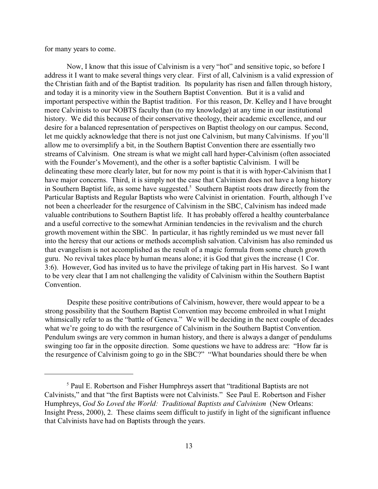for many years to come.

Now, I know that this issue of Calvinism is a very "hot" and sensitive topic, so before I address it I want to make several things very clear. First of all, Calvinism is a valid expression of the Christian faith and of the Baptist tradition. Its popularity has risen and fallen through history, and today it is a minority view in the Southern Baptist Convention. But it is a valid and important perspective within the Baptist tradition. For this reason, Dr. Kelley and I have brought more Calvinists to our NOBTS faculty than (to my knowledge) at any time in our institutional history. We did this because of their conservative theology, their academic excellence, and our desire for a balanced representation of perspectives on Baptist theology on our campus. Second, let me quickly acknowledge that there is not just one Calvinism, but many Calvinisms. If you'll allow me to oversimplify a bit, in the Southern Baptist Convention there are essentially two streams of Calvinism. One stream is what we might call hard hyper-Calvinism (often associated with the Founder's Movement), and the other is a softer baptistic Calvinism. I will be delineating these more clearly later, but for now my point is that it is with hyper-Calvinism that I have major concerns. Third, it is simply not the case that Calvinism does not have a long history in Southern Baptist life, as some have suggested.<sup>5</sup> Southern Baptist roots draw directly from the Particular Baptists and Regular Baptists who were Calvinist in orientation. Fourth, although I've not been a cheerleader for the resurgence of Calvinism in the SBC, Calvinism has indeed made valuable contributions to Southern Baptist life. It has probably offered a healthy counterbalance and a useful corrective to the somewhat Arminian tendencies in the revivalism and the church growth movement within the SBC. In particular, it has rightly reminded us we must never fall into the heresy that our actions or methods accomplish salvation. Calvinism has also reminded us that evangelism is not accomplished as the result of a magic formula from some church growth guru. No revival takes place by human means alone; it is God that gives the increase (1 Cor. 3:6). However, God has invited us to have the privilege of taking part in His harvest. So I want to be very clear that I am not challenging the validity of Calvinism within the Southern Baptist Convention.

Despite these positive contributions of Calvinism, however, there would appear to be a strong possibility that the Southern Baptist Convention may become embroiled in what I might whimsically refer to as the "battle of Geneva." We will be deciding in the next couple of decades what we're going to do with the resurgence of Calvinism in the Southern Baptist Convention. Pendulum swings are very common in human history, and there is always a danger of pendulums swinging too far in the opposite direction. Some questions we have to address are: "How far is the resurgence of Calvinism going to go in the SBC?" "What boundaries should there be when

<sup>&</sup>lt;sup>5</sup> Paul E. Robertson and Fisher Humphreys assert that "traditional Baptists are not Calvinists," and that "the first Baptists were not Calvinists." See Paul E. Robertson and Fisher Humphreys, *God So Loved the World: Traditional Baptists and Calvinism* (New Orleans: Insight Press, 2000), 2. These claims seem difficult to justify in light of the significant influence that Calvinists have had on Baptists through the years.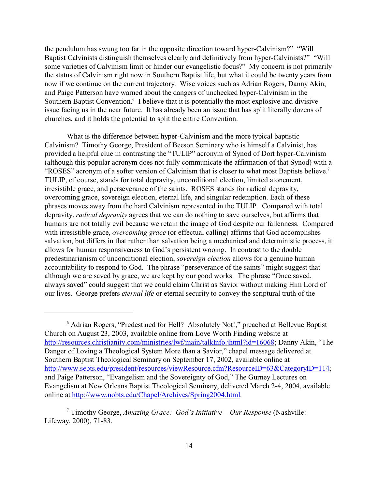the pendulum has swung too far in the opposite direction toward hyper-Calvinism?" "Will Baptist Calvinists distinguish themselves clearly and definitively from hyper-Calvinists?" "Will some varieties of Calvinism limit or hinder our evangelistic focus?" My concern is not primarily the status of Calvinism right now in Southern Baptist life, but what it could be twenty years from now if we continue on the current trajectory. Wise voices such as Adrian Rogers, Danny Akin, and Paige Patterson have warned about the dangers of unchecked hyper-Calvinism in the Southern Baptist Convention.<sup>6</sup> I believe that it is potentially the most explosive and divisive issue facing us in the near future. It has already been an issue that has split literally dozens of churches, and it holds the potential to split the entire Convention.

What is the difference between hyper-Calvinism and the more typical baptistic Calvinism? Timothy George, President of Beeson Seminary who is himself a Calvinist, has provided a helpful clue in contrasting the "TULIP" acronym of Synod of Dort hyper-Calvinism (although this popular acronym does not fully communicate the affirmation of that Synod) with a "ROSES" acronym of a softer version of Calvinism that is closer to what most Baptists believe.<sup>7</sup> TULIP, of course, stands for total depravity, unconditional election, limited atonement, irresistible grace, and perseverance of the saints. ROSES stands for radical depravity, overcoming grace, sovereign election, eternal life, and singular redemption. Each of these phrases moves away from the hard Calvinism represented in the TULIP. Compared with total depravity, *radical depravity* agrees that we can do nothing to save ourselves, but affirms that humans are not totally evil because we retain the image of God despite our fallenness. Compared with irresistible grace, *overcoming grace* (or effectual calling) affirms that God accomplishes salvation, but differs in that rather than salvation being a mechanical and deterministic process, it allows for human responsiveness to God's persistent wooing. In contrast to the double predestinarianism of unconditional election, *sovereign election* allows for a genuine human accountability to respond to God. The phrase "perseverance of the saints" might suggest that although we are saved by grace, we are kept by our good works. The phrase "Once saved, always saved" could suggest that we could claim Christ as Savior without making Him Lord of our lives. George prefers *eternal life* or eternal security to convey the scriptural truth of the

<sup>&</sup>lt;sup>6</sup> Adrian Rogers, "Predestined for Hell? Absolutely Not!," preached at Bellevue Baptist Church on August 23, 2003, available online from Love Worth Finding website at http://resources.christianity.com/ministries/lwf/main/talkInfo.jhtml?id=16068; Danny Akin, "The Danger of Loving a Theological System More than a Savior," chapel message delivered at Southern Baptist Theological Seminary on September 17, 2002, available online at http://www.sebts.edu/president/resources/viewResource.cfm?ResourceID=63&CategoryID=114; and Paige Patterson, "Evangelism and the Sovereignty of God," The Gurney Lectures on Evangelism at New Orleans Baptist Theological Seminary, delivered March 2-4, 2004, available online at http://www.nobts.edu/Chapel/Archives/Spring2004.html.

<sup>7</sup> Timothy George, *Amazing Grace: God's Initiative – Our Response* (Nashville: Lifeway, 2000), 71-83.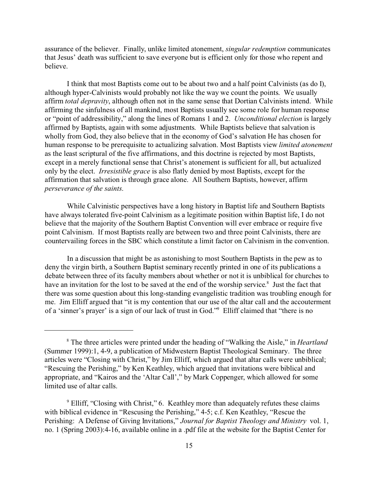assurance of the believer. Finally, unlike limited atonement, *singular redemption* communicates that Jesus' death was sufficient to save everyone but is efficient only for those who repent and believe.

I think that most Baptists come out to be about two and a half point Calvinists (as do I), although hyper-Calvinists would probably not like the way we count the points. We usually affirm *total depravity*, although often not in the same sense that Dortian Calvinists intend. While affirming the sinfulness of all mankind, most Baptists usually see some role for human response or "point of addressibility," along the lines of Romans 1 and 2. *Unconditional election* is largely affirmed by Baptists, again with some adjustments. While Baptists believe that salvation is wholly from God, they also believe that in the economy of God's salvation He has chosen for human response to be prerequisite to actualizing salvation. Most Baptists view *limited atonement* as the least scriptural of the five affirmations, and this doctrine is rejected by most Baptists, except in a merely functional sense that Christ's atonement is sufficient for all, but actualized only by the elect. *Irresistible grace* is also flatly denied by most Baptists, except for the affirmation that salvation is through grace alone. All Southern Baptists, however, affirm *perseverance of the saints*.

While Calvinistic perspectives have a long history in Baptist life and Southern Baptists have always tolerated five-point Calvinism as a legitimate position within Baptist life, I do not believe that the majority of the Southern Baptist Convention will ever embrace or require five point Calvinism. If most Baptists really are between two and three point Calvinists, there are countervailing forces in the SBC which constitute a limit factor on Calvinism in the convention.

In a discussion that might be as astonishing to most Southern Baptists in the pew as to deny the virgin birth, a Southern Baptist seminary recently printed in one of its publications a debate between three of its faculty members about whether or not it is unbiblical for churches to have an invitation for the lost to be saved at the end of the worship service.<sup>8</sup> Just the fact that there was some question about this long-standing evangelistic tradition was troubling enough for me. Jim Elliff argued that "it is my contention that our use of the altar call and the accouterment of a 'sinner's prayer' is a sign of our lack of trust in God."<sup>9</sup> Elliff claimed that "there is no

<sup>8</sup> The three articles were printed under the heading of "Walking the Aisle," in *Heartland* (Summer 1999):1, 4-9, a publication of Midwestern Baptist Theological Seminary. The three articles were "Closing with Christ," by Jim Elliff, which argued that altar calls were unbiblical; "Rescuing the Perishing," by Ken Keathley, which argued that invitations were biblical and appropriate, and "Kairos and the 'Altar Call'," by Mark Coppenger, which allowed for some limited use of altar calls.

<sup>&</sup>lt;sup>9</sup> Elliff, "Closing with Christ," 6. Keathley more than adequately refutes these claims with biblical evidence in "Rescusing the Perishing," 4-5; c.f. Ken Keathley, "Rescue the Perishing: A Defense of Giving Invitations," *Journal for Baptist Theology and Ministry* vol. 1, no. 1 (Spring 2003):4-16, available online in a .pdf file at the website for the Baptist Center for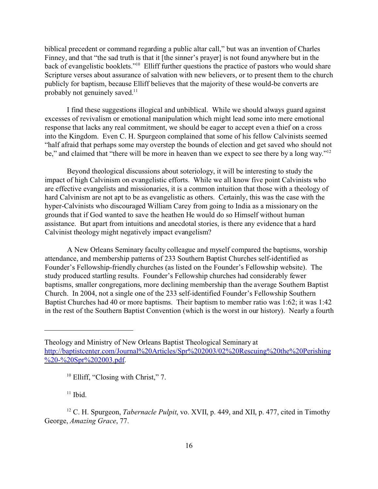biblical precedent or command regarding a public altar call," but was an invention of Charles Finney, and that "the sad truth is that it [the sinner's prayer] is not found anywhere but in the back of evangelistic booklets."<sup>10</sup> Elliff further questions the practice of pastors who would share Scripture verses about assurance of salvation with new believers, or to present them to the church publicly for baptism, because Elliff believes that the majority of these would-be converts are probably not genuinely saved.<sup>11</sup>

I find these suggestions illogical and unbiblical. While we should always guard against excesses of revivalism or emotional manipulation which might lead some into mere emotional response that lacks any real commitment, we should be eager to accept even a thief on a cross into the Kingdom. Even C. H. Spurgeon complained that some of his fellow Calvinists seemed "half afraid that perhaps some may overstep the bounds of election and get saved who should not be," and claimed that "there will be more in heaven than we expect to see there by a long way."<sup>12</sup>

Beyond theological discussions about soteriology, it will be interesting to study the impact of high Calvinism on evangelistic efforts. While we all know five point Calvinists who are effective evangelists and missionaries, it is a common intuition that those with a theology of hard Calvinism are not apt to be as evangelistic as others. Certainly, this was the case with the hyper-Calvinists who discouraged William Carey from going to India as a missionary on the grounds that if God wanted to save the heathen He would do so Himself without human assistance. But apart from intuitions and anecdotal stories, is there any evidence that a hard Calvinist theology might negatively impact evangelism?

A New Orleans Seminary faculty colleague and myself compared the baptisms, worship attendance, and membership patterns of 233 Southern Baptist Churches self-identified as Founder's Fellowship-friendly churches (as listed on the Founder's Fellowship website). The study produced startling results. Founder's Fellowship churches had considerably fewer baptisms, smaller congregations, more declining membership than the average Southern Baptist Church. In 2004, not a single one of the 233 self-identified Founder's Fellowship Southern Baptist Churches had 40 or more baptisms. Their baptism to member ratio was 1:62; it was 1:42 in the rest of the Southern Baptist Convention (which is the worst in our history). Nearly a fourth

<sup>10</sup> Elliff, "Closing with Christ," 7.

 $11$  Ibid.

Theology and Ministry of New Orleans Baptist Theological Seminary at http://baptistcenter.com/Journal%20Articles/Spr%202003/02%20Rescuing%20the%20Perishing %20-%20Spr%202003.pdf.

<sup>12</sup> C. H. Spurgeon, *Tabernacle Pulpit*, vo. XVII, p. 449, and XII, p. 477, cited in Timothy George, *Amazing Grace*, 77.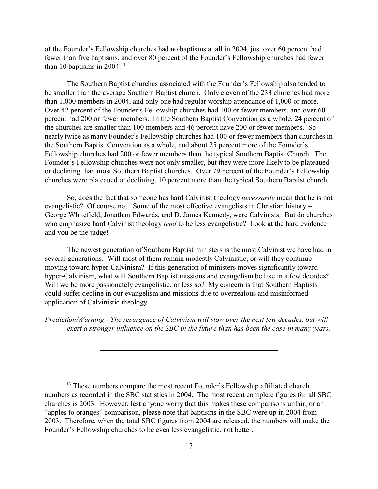of the Founder's Fellowship churches had no baptisms at all in 2004, just over 60 percent had fewer than five baptisms, and over 80 percent of the Founder's Fellowship churches had fewer than 10 baptisms in  $2004.<sup>13</sup>$ 

The Southern Baptist churches associated with the Founder's Fellowship also tended to be smaller than the average Southern Baptist church. Only eleven of the 233 churches had more than 1,000 members in 2004, and only one had regular worship attendance of 1,000 or more. Over 42 percent of the Founder's Fellowship churches had 100 or fewer members, and over 60 percent had 200 or fewer members. In the Southern Baptist Convention as a whole, 24 percent of the churches are smaller than 100 members and 46 percent have 200 or fewer members. So nearly twice as many Founder's Fellowship churches had 100 or fewer members than churches in the Southern Baptist Convention as a whole, and about 25 percent more of the Founder's Fellowship churches had 200 or fewer members than the typical Southern Baptist Church. The Founder's Fellowship churches were not only smaller, but they were more likely to be plateaued or declining than most Southern Baptist churches. Over 79 percent of the Founder's Fellowship churches were plateaued or declining, 10 percent more than the typical Southern Baptist church.

So, does the fact that someone has hard Calvinist theology *necessarily* mean that he is not evangelistic? Of course not. Some of the most effective evangelists in Christian history – George Whitefield, Jonathan Edwards, and D. James Kennedy, were Calvinists. But do churches who emphasize hard Calvinist theology *tend* to be less evangelistic? Look at the hard evidence and you be the judge!

The newest generation of Southern Baptist ministers is the most Calvinist we have had in several generations. Will most of them remain modestly Calvinistic, or will they continue moving toward hyper-Calvinism? If this generation of ministers moves significantly toward hyper-Calvinism, what will Southern Baptist missions and evangelism be like in a few decades? Will we be more passionately evangelistic, or less so? My concern is that Southern Baptists could suffer decline in our evangelism and missions due to overzealous and misinformed application of Calvinistic theology.

*Prediction/Warning: The resurgence of Calvinism will slow over the next few decades, but will exert a stronger influence on the SBC in the future than has been the case in many years.*

<sup>&</sup>lt;sup>13</sup> These numbers compare the most recent Founder's Fellowship affiliated church numbers as recorded in the SBC statistics in 2004. The most recent complete figures for all SBC churches is 2003. However, lest anyone worry that this makes these comparisons unfair, or an "apples to oranges" comparison, please note that baptisms in the SBC were up in 2004 from 2003. Therefore, when the total SBC figures from 2004 are released, the numbers will make the Founder's Fellowship churches to be even less evangelistic, not better.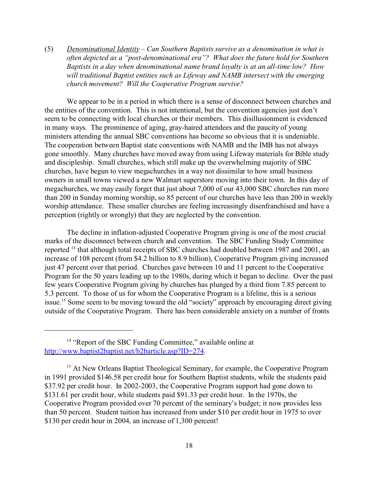(5) *Denominational Identity* – *Can Southern Baptists survive as a denomination in what is often depicted as a "post-denominational era"? What does the future hold for Southern Baptists in a day when denominational name brand loyalty is at an all-time low? How will traditional Baptist entities such as Lifeway and NAMB intersect with the emerging church movement? Will the Cooperative Program survive?* 

We appear to be in a period in which there is a sense of disconnect between churches and the entities of the convention. This is not intentional, but the convention agencies just don't seem to be connecting with local churches or their members. This disillusionment is evidenced in many ways. The prominence of aging, gray-haired attendees and the paucity of young ministers attending the annual SBC conventions has become so obvious that it is undeniable. The cooperation between Baptist state conventions with NAMB and the IMB has not always gone smoothly. Many churches have moved away from using Lifeway materials for Bible study and discipleship. Small churches, which still make up the overwhelming majority of SBC churches, have begun to view megachurches in a way not dissimilar to how small business owners in small towns viewed a new Walmart superstore moving into their town. In this day of megachurches, we may easily forget that just about 7,000 of our 43,000 SBC churches run more than 200 in Sunday morning worship, so 85 percent of our churches have less than 200 in weekly worship attendance. These smaller churches are feeling increasingly disenfranchised and have a perception (rightly or wrongly) that they are neglected by the convention.

The decline in inflation-adjusted Cooperative Program giving is one of the most crucial marks of the disconnect between church and convention. The SBC Funding Study Committee reported <sup>14</sup> that although total receipts of SBC churches had doubled between 1987 and 2001, an increase of 108 percent (from \$4.2 billion to 8.9 billion), Cooperative Program giving increased just 47 percent over that period. Churches gave between 10 and 11 percent to the Cooperative Program for the 50 years leading up to the 1980s, during which it began to decline. Over the past few years Cooperative Program giving by churches has plunged by a third from 7.85 percent to 5.3 percent. To those of us for whom the Cooperative Program is a lifeline, this is a serious issue.<sup>15</sup> Some seem to be moving toward the old "society" approach by encouraging direct giving outside of the Cooperative Program. There has been considerable anxiety on a number of fronts

<sup>&</sup>lt;sup>14</sup> "Report of the SBC Funding Committee," available online at http://www.baptist2baptist.net/b2barticle.asp?ID=274.

<sup>&</sup>lt;sup>15</sup> At New Orleans Baptist Theological Seminary, for example, the Cooperative Program in 1991 provided \$146.58 per credit hour for Southern Baptist students, while the students paid \$37.92 per credit hour. In 2002-2003, the Cooperative Program support had gone down to \$131.61 per credit hour, while students paid \$91.33 per credit hour. In the 1970s, the Cooperative Program provided over 70 percent of the seminary's budget; it now provides less than 50 percent. Student tuition has increased from under \$10 per credit hour in 1975 to over \$130 per credit hour in 2004, an increase of 1,300 percent!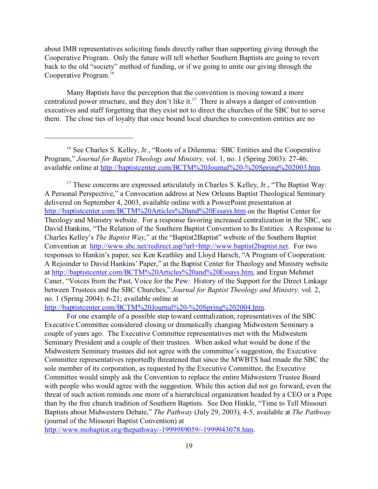about IMB representatives soliciting funds directly rather than supporting giving through the Cooperative Program. Only the future will tell whether Southern Baptists are going to revert back to the old "society" method of funding, or if we going to unite our giving through the Cooperative Program.<sup>16</sup>

Many Baptists have the perception that the convention is moving toward a more centralized power structure, and they don't like it.<sup>17</sup> There is always a danger of convention executives and staff forgetting that they exist not to direct the churches of the SBC but to serve them. The close ties of loyalty that once bound local churches to convention entities are no

<sup>17</sup> These concerns are expressed articulately in Charles S. Kelley, Jr., "The Baptist Way: A Personal Perspective," a Convocation address at New Orleans Baptist Theological Seminary delivered on September 4, 2003, available online with a PowerPoint presentation at http://baptistcenter.com/BCTM%20Articles%20and%20Essays.htm on the Baptist Center for Theology and Ministry website. For a response favoring increased centralization in the SBC, see David Hankins, "The Relation of the Southern Baptist Convention to Its Entities: A Response to Charles Kelley's *The Baptist Way*," at the "Baptist2Baptist" website of the Southern Baptist Convention at http://www.sbc.net/redirect.asp?url=http://www.baptist2baptist.net. For two responses to Hankin's paper, see Ken Keathley and Lloyd Harsch, "A Program of Cooperation: A Rejoinder to David Hankins' Paper," at the Baptist Center for Theology and Ministry website at http://baptistcenter.com/BCTM%20Articles%20and%20Essays.htm, and Ergun Mehmet Caner, "Voices from the Past, Voice for the Pew: History of the Support for the Direct Linkage between Trustees and the SBC Churches," *Journal for Baptist Theology and Ministry,* vol. 2, no. 1 (Spring 2004): 6-21; available online at

http://baptistcenter.com/BCTM%20Journal%20-%20Spring%202004.htm.

For one example of a possible step toward centralization, representatives of the SBC Executive Committee considered closing or dramatically changing Midwestern Seminary a couple of years ago. The Executive Committee representatives met with the Midwestern Seminary President and a couple of their trustees. When asked what would be done if the Midwestern Seminary trustees did not agree with the committee's suggestion, the Executive Committee representatives reportedly threatened that since the MWBTS had rmade the SBC the sole member of its corporation, as requested by the Executive Committee, the Executive Committee would simply ask the Convention to replace the entire Midwestern Trustee Board with people who would agree with the suggestion. While this action did not go forward, even the threat of such action reminds one more of a hierarchical organization headed by a CEO or a Pope than by the free church tradition of Southern Baptists. See Don Hinkle, "Time to Tell Missouri Baptists about Midwestern Debate," *The Pathway* (July 29, 2003), 4-5, available at *The Pathway* (journal of the Missouri Baptist Convention) at

http://www.mobaptist.org/thepathway/-1999989059/-1999943078.htm.

<sup>&</sup>lt;sup>16</sup> See Charles S. Kelley, Jr., "Roots of a Dilemma: SBC Entities and the Cooperative Program," *Journal for Baptist Theology and Ministry,* vol. 1, no. 1 (Spring 2003): 27-46; available online at http://baptistcenter.com/BCTM%20Journal%20-%20Spring%202003.htm.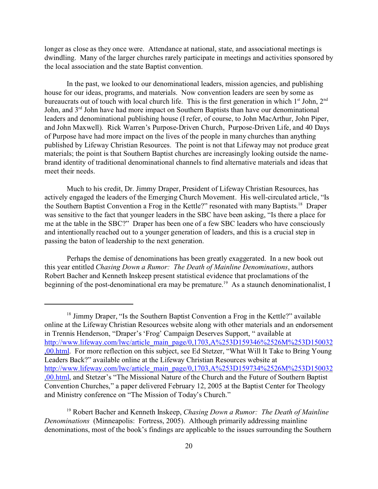longer as close as they once were. Attendance at national, state, and associational meetings is dwindling. Many of the larger churches rarely participate in meetings and activities sponsored by the local association and the state Baptist convention.

In the past, we looked to our denominational leaders, mission agencies, and publishing house for our ideas, programs, and materials. Now convention leaders are seen by some as bureaucrats out of touch with local church life. This is the first generation in which 1<sup>st</sup> John, 2<sup>nd</sup> John, and 3<sup>rd</sup> John have had more impact on Southern Baptists than have our denominational leaders and denominational publishing house (I refer, of course, to John MacArthur, John Piper, and John Maxwell). Rick Warren's Purpose-Driven Church, Purpose-Driven Life, and 40 Days of Purpose have had more impact on the lives of the people in many churches than anything published by Lifeway Christian Resources. The point is not that Lifeway may not produce great materials; the point is that Southern Baptist churches are increasingly looking outside the namebrand identity of traditional denominational channels to find alternative materials and ideas that meet their needs.

Much to his credit, Dr. Jimmy Draper, President of Lifeway Christian Resources, has actively engaged the leaders of the Emerging Church Movement. His well-circulated article, "Is the Southern Baptist Convention a Frog in the Kettle?" resonated with many Baptists. <sup>18</sup> Draper was sensitive to the fact that younger leaders in the SBC have been asking, "Is there a place for me at the table in the SBC?" Draper has been one of a few SBC leaders who have consciously and intentionally reached out to a younger generation of leaders, and this is a crucial step in passing the baton of leadership to the next generation.

Perhaps the demise of denominations has been greatly exaggerated. In a new book out this year entitled *Chasing Down a Rumor: The Death of Mainline Denominations*, authors Robert Bacher and Kenneth Inskeep present statistical evidence that proclamations of the beginning of the post-denominational era may be premature.<sup>19</sup> As a staunch denominationalist, I

<sup>&</sup>lt;sup>18</sup> Jimmy Draper, "Is the Southern Baptist Convention a Frog in the Kettle?" available online at the Lifeway Christian Resources website along with other materials and an endorsement in Trennis Henderson, "Draper's 'Frog' Campaign Deserves Support, " available at http://www.lifeway.com/lwc/article\_main\_page/0,1703,A%253D159346%2526M%253D150032 ,00.html. For more reflection on this subject, see Ed Stetzer, "What Will It Take to Bring Young Leaders Back?" available online at the Lifeway Christian Resources website at http://www.lifeway.com/lwc/article\_main\_page/0,1703,A%253D159734%2526M%253D150032 ,00.html, and Stetzer's "The Missional Nature of the Church and the Future of Southern Baptist Convention Churches," a paper delivered February 12, 2005 at the Baptist Center for Theology and Ministry conference on "The Mission of Today's Church."

<sup>19</sup> Robert Bacher and Kenneth Inskeep, *Chasing Down a Rumor: The Death of Mainline Denominations* (Minneapolis: Fortress, 2005). Although primarily addressing mainline denominations, most of the book's findings are applicable to the issues surrounding the Southern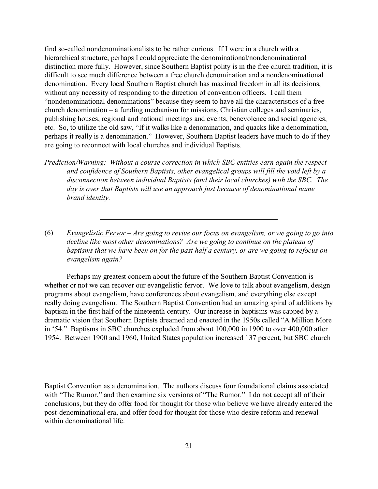find so-called nondenominationalists to be rather curious. If I were in a church with a hierarchical structure, perhaps I could appreciate the denominational/nondenominational distinction more fully. However, since Southern Baptist polity is in the free church tradition, it is difficult to see much difference between a free church denomination and a nondenominational denomination. Every local Southern Baptist church has maximal freedom in all its decisions, without any necessity of responding to the direction of convention officers. I call them "nondenominational denominations" because they seem to have all the characteristics of a free church denomination – a funding mechanism for missions, Christian colleges and seminaries, publishing houses, regional and national meetings and events, benevolence and social agencies, etc. So, to utilize the old saw, "If it walks like a denomination, and quacks like a denomination, perhaps it really is a denomination." However, Southern Baptist leaders have much to do if they are going to reconnect with local churches and individual Baptists.

*Prediction/Warning: Without a course correction in which SBC entities earn again the respect and confidence of Southern Baptists, other evangelical groups will fill the void left by a disconnection between individual Baptists (and their local churches) with the SBC. The day is over that Baptists will use an approach just because of denominational name brand identity.* 

(6) *Evangelistic Fervor* – *Are going to revive our focus on evangelism, or we going to go into decline like most other denominations? Are we going to continue on the plateau of baptisms that we have been on for the past half a century, or are we going to refocus on evangelism again?*

Perhaps my greatest concern about the future of the Southern Baptist Convention is whether or not we can recover our evangelistic fervor. We love to talk about evangelism, design programs about evangelism, have conferences about evangelism, and everything else except really doing evangelism. The Southern Baptist Convention had an amazing spiral of additions by baptism in the first half of the nineteenth century. Our increase in baptisms was capped by a dramatic vision that Southern Baptists dreamed and enacted in the 1950s called "A Million More in '54." Baptisms in SBC churches exploded from about 100,000 in 1900 to over 400,000 after 1954. Between 1900 and 1960, United States population increased 137 percent, but SBC church

Baptist Convention as a denomination. The authors discuss four foundational claims associated with "The Rumor," and then examine six versions of "The Rumor." I do not accept all of their conclusions, but they do offer food for thought for those who believe we have already entered the post-denominational era, and offer food for thought for those who desire reform and renewal within denominational life.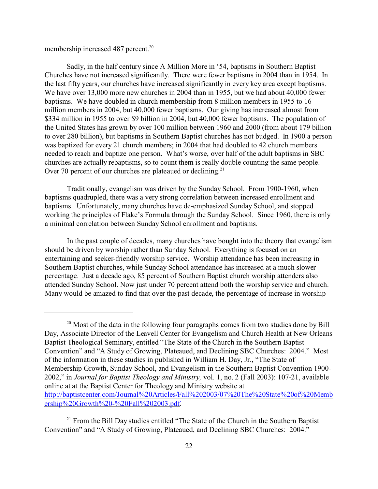membership increased 487 percent.<sup>20</sup>

Sadly, in the half century since A Million More in '54, baptisms in Southern Baptist Churches have not increased significantly. There were fewer baptisms in 2004 than in 1954. In the last fifty years, our churches have increased significantly in every key area except baptisms. We have over 13,000 more new churches in 2004 than in 1955, but we had about 40,000 fewer baptisms. We have doubled in church membership from 8 million members in 1955 to 16 million members in 2004, but 40,000 fewer baptisms. Our giving has increased almost from \$334 million in 1955 to over \$9 billion in 2004, but 40,000 fewer baptisms. The population of the United States has grown by over 100 million between 1960 and 2000 (from about 179 billion to over 280 billion), but baptisms in Southern Baptist churches has not budged. In 1900 a person was baptized for every 21 church members; in 2004 that had doubled to 42 church members needed to reach and baptize one person. What's worse, over half of the adult baptisms in SBC churches are actually rebaptisms, so to count them is really double counting the same people. Over 70 percent of our churches are plateaued or declining.<sup>21</sup>

Traditionally, evangelism was driven by the Sunday School. From 1900-1960, when baptisms quadrupled, there was a very strong correlation between increased enrollment and baptisms. Unfortunately, many churches have de-emphasized Sunday School, and stopped working the principles of Flake's Formula through the Sunday School. Since 1960, there is only a minimal correlation between Sunday School enrollment and baptisms.

In the past couple of decades, many churches have bought into the theory that evangelism should be driven by worship rather than Sunday School. Everything is focused on an entertaining and seeker-friendly worship service. Worship attendance has been increasing in Southern Baptist churches, while Sunday School attendance has increased at a much slower percentage. Just a decade ago, 85 percent of Southern Baptist church worship attenders also attended Sunday School. Now just under 70 percent attend both the worship service and church. Many would be amazed to find that over the past decade, the percentage of increase in worship

<sup>&</sup>lt;sup>20</sup> Most of the data in the following four paragraphs comes from two studies done by Bill Day, Associate Director of the Leavell Center for Evangelism and Church Health at New Orleans Baptist Theological Seminary, entitled "The State of the Church in the Southern Baptist Convention" and "A Study of Growing, Plateaued, and Declining SBC Churches: 2004." Most of the information in these studies in published in William H. Day, Jr., "The State of Membership Growth, Sunday School, and Evangelism in the Southern Baptist Convention 1900- 2002," in *Journal for Baptist Theology and Ministry,* vol. 1, no. 2 (Fall 2003): 107-21, available online at at the Baptist Center for Theology and Ministry website at http://baptistcenter.com/Journal%20Articles/Fall%202003/07%20The%20State%20of%20Memb ership%20Growth%20-%20Fall%202003.pdf.

<sup>&</sup>lt;sup>21</sup> From the Bill Day studies entitled "The State of the Church in the Southern Baptist Convention" and "A Study of Growing, Plateaued, and Declining SBC Churches: 2004."